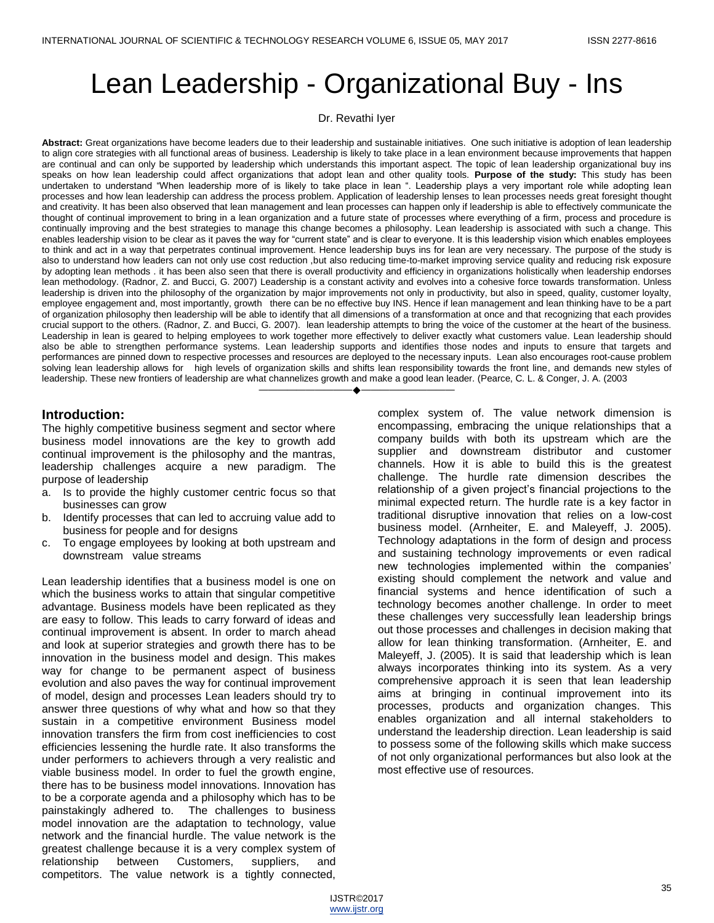# Lean Leadership - Organizational Buy - Ins

Dr. Revathi Iyer

**Abstract:** Great organizations have become leaders due to their leadership and sustainable initiatives. One such initiative is adoption of lean leadership to align core strategies with all functional areas of business. Leadership is likely to take place in a lean environment because improvements that happen are continual and can only be supported by leadership which understands this important aspect. The topic of lean leadership organizational buy ins speaks on how lean leadership could affect organizations that adopt lean and other quality tools. **Purpose of the study:** This study has been undertaken to understand "When leadership more of is likely to take place in lean ". Leadership plays a very important role while adopting lean processes and how lean leadership can address the process problem. Application of leadership lenses to lean processes needs great foresight thought and creativity. It has been also observed that lean management and lean processes can happen only if leadership is able to effectively communicate the thought of continual improvement to bring in a lean organization and a future state of processes where everything of a firm, process and procedure is continually improving and the best strategies to manage this change becomes a philosophy. Lean leadership is associated with such a change. This enables leadership vision to be clear as it paves the way for "current state" and is clear to everyone. It is this leadership vision which enables employees to think and act in a way that perpetrates continual improvement. Hence leadership buys ins for lean are very necessary. The purpose of the study is also to understand how leaders can not only use cost reduction ,but also reducing time-to-market improving service quality and reducing risk exposure by adopting lean methods . it has been also seen that there is overall productivity and efficiency in organizations holistically when leadership endorses lean methodology. (Radnor, Z. and Bucci, G. 2007) Leadership is a constant activity and evolves into a cohesive force towards transformation. Unless leadership is driven into the philosophy of the organization by major improvements not only in productivity, but also in speed, quality, customer loyalty, employee engagement and, most importantly, growth there can be no effective buy INS. Hence if lean management and lean thinking have to be a part of organization philosophy then leadership will be able to identify that all dimensions of a transformation at once and that recognizing that each provides crucial support to the others. (Radnor, Z. and Bucci, G. 2007). lean leadership attempts to bring the voice of the customer at the heart of the business. Leadership in lean is geared to helping employees to work together more effectively to deliver exactly what customers value. Lean leadership should also be able to strengthen performance systems. Lean leadership supports and identifies those nodes and inputs to ensure that targets and performances are pinned down to respective processes and resources are deployed to the necessary inputs. Lean also encourages root-cause problem solving lean leadership allows for high levels of organization skills and shifts lean responsibility towards the front line, and demands new styles of leadership. These new frontiers of leadership are what channelizes growth and make a good lean leader. (Pearce, C. L. & Conger, J. A. (2003 ————————————————————

## **Introduction:**

The highly competitive business segment and sector where business model innovations are the key to growth add continual improvement is the philosophy and the mantras, leadership challenges acquire a new paradigm. The purpose of leadership

- a. Is to provide the highly customer centric focus so that businesses can grow
- b. Identify processes that can led to accruing value add to business for people and for designs
- c. To engage employees by looking at both upstream and downstream value streams

Lean leadership identifies that a business model is one on which the business works to attain that singular competitive advantage. Business models have been replicated as they are easy to follow. This leads to carry forward of ideas and continual improvement is absent. In order to march ahead and look at superior strategies and growth there has to be innovation in the business model and design. This makes way for change to be permanent aspect of business evolution and also paves the way for continual improvement of model, design and processes Lean leaders should try to answer three questions of why what and how so that they sustain in a competitive environment Business model innovation transfers the firm from cost inefficiencies to cost efficiencies lessening the hurdle rate. It also transforms the under performers to achievers through a very realistic and viable business model. In order to fuel the growth engine, there has to be business model innovations. Innovation has to be a corporate agenda and a philosophy which has to be painstakingly adhered to. The challenges to business model innovation are the adaptation to technology, value network and the financial hurdle. The value network is the greatest challenge because it is a very complex system of relationship between Customers, suppliers, and competitors. The value network is a tightly connected,

complex system of. The value network dimension is encompassing, embracing the unique relationships that a company builds with both its upstream which are the supplier and downstream distributor and customer channels. How it is able to build this is the greatest challenge. The hurdle rate dimension describes the relationship of a given project's financial projections to the minimal expected return. The hurdle rate is a key factor in traditional disruptive innovation that relies on a low-cost business model. (Arnheiter, E. and Maleyeff, J. 2005). Technology adaptations in the form of design and process and sustaining technology improvements or even radical new technologies implemented within the companies' existing should complement the network and value and financial systems and hence identification of such a technology becomes another challenge. In order to meet these challenges very successfully lean leadership brings out those processes and challenges in decision making that allow for lean thinking transformation. (Arnheiter, E. and Maleyeff, J. (2005). It is said that leadership which is lean always incorporates thinking into its system. As a very comprehensive approach it is seen that lean leadership aims at bringing in continual improvement into its processes, products and organization changes. This enables organization and all internal stakeholders to understand the leadership direction. Lean leadership is said to possess some of the following skills which make success of not only organizational performances but also look at the most effective use of resources.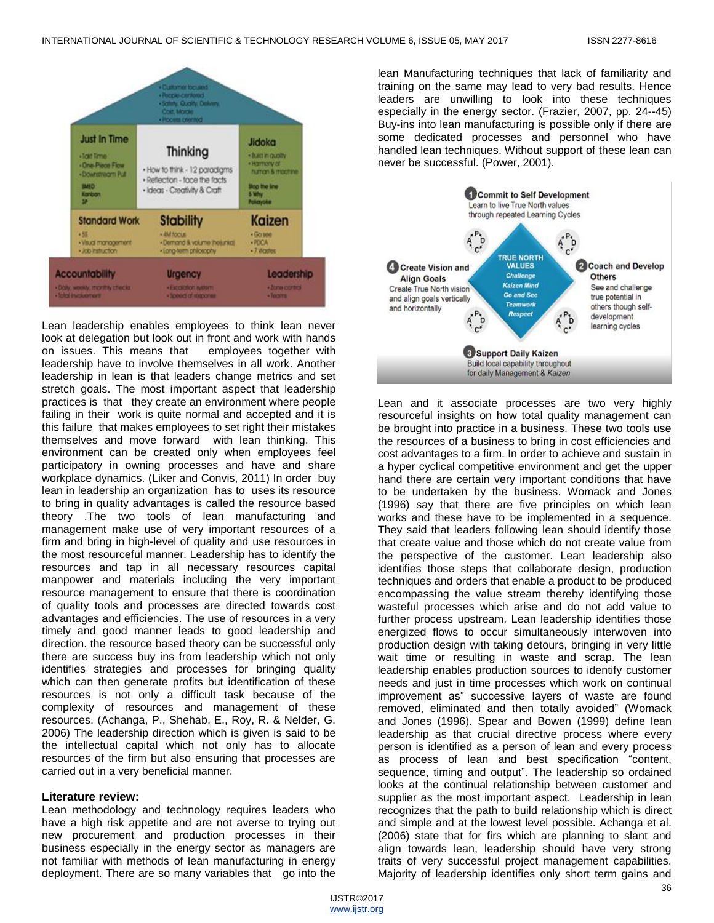

Lean leadership enables employees to think lean never look at delegation but look out in front and work with hands on issues. This means that employees together with leadership have to involve themselves in all work. Another leadership in lean is that leaders change metrics and set stretch goals. The most important aspect that leadership practices is that they create an environment where people failing in their work is quite normal and accepted and it is this failure that makes employees to set right their mistakes themselves and move forward with lean thinking. This environment can be created only when employees feel participatory in owning processes and have and share workplace dynamics. (Liker and Convis, 2011) In order buy lean in leadership an organization has to uses its resource to bring in quality advantages is called the resource based theory .The two tools of lean manufacturing and management make use of very important resources of a firm and bring in high-level of quality and use resources in the most resourceful manner. Leadership has to identify the resources and tap in all necessary resources capital manpower and materials including the very important resource management to ensure that there is coordination of quality tools and processes are directed towards cost advantages and efficiencies. The use of resources in a very timely and good manner leads to good leadership and direction. the resource based theory can be successful only there are success buy ins from leadership which not only identifies strategies and processes for bringing quality which can then generate profits but identification of these resources is not only a difficult task because of the complexity of resources and management of these resources. (Achanga, P., Shehab, E., Roy, R. & Nelder, G. 2006) The leadership direction which is given is said to be the intellectual capital which not only has to allocate resources of the firm but also ensuring that processes are carried out in a very beneficial manner.

#### **Literature review:**

Lean methodology and technology requires leaders who have a high risk appetite and are not averse to trying out new procurement and production processes in their business especially in the energy sector as managers are not familiar with methods of lean manufacturing in energy deployment. There are so many variables that go into the

lean Manufacturing techniques that lack of familiarity and training on the same may lead to very bad results. Hence leaders are unwilling to look into these techniques especially in the energy sector. (Frazier, 2007, pp. 24--45) Buy-ins into lean manufacturing is possible only if there are some dedicated processes and personnel who have handled lean techniques. Without support of these lean can never be successful. (Power, 2001).



Lean and it associate processes are two very highly resourceful insights on how total quality management can be brought into practice in a business. These two tools use the resources of a business to bring in cost efficiencies and cost advantages to a firm. In order to achieve and sustain in a hyper cyclical competitive environment and get the upper hand there are certain very important conditions that have to be undertaken by the business. Womack and Jones (1996) say that there are five principles on which lean works and these have to be implemented in a sequence. They said that leaders following lean should identify those that create value and those which do not create value from the perspective of the customer. Lean leadership also identifies those steps that collaborate design, production techniques and orders that enable a product to be produced encompassing the value stream thereby identifying those wasteful processes which arise and do not add value to further process upstream. Lean leadership identifies those energized flows to occur simultaneously interwoven into production design with taking detours, bringing in very little wait time or resulting in waste and scrap. The lean leadership enables production sources to identify customer needs and just in time processes which work on continual improvement as" successive layers of waste are found removed, eliminated and then totally avoided" (Womack and Jones (1996). Spear and Bowen (1999) define lean leadership as that crucial directive process where every person is identified as a person of lean and every process as process of lean and best specification "content, sequence, timing and output". The leadership so ordained looks at the continual relationship between customer and supplier as the most important aspect. Leadership in lean recognizes that the path to build relationship which is direct and simple and at the lowest level possible. Achanga et al. (2006) state that for firs which are planning to slant and align towards lean, leadership should have very strong traits of very successful project management capabilities. Majority of leadership identifies only short term gains and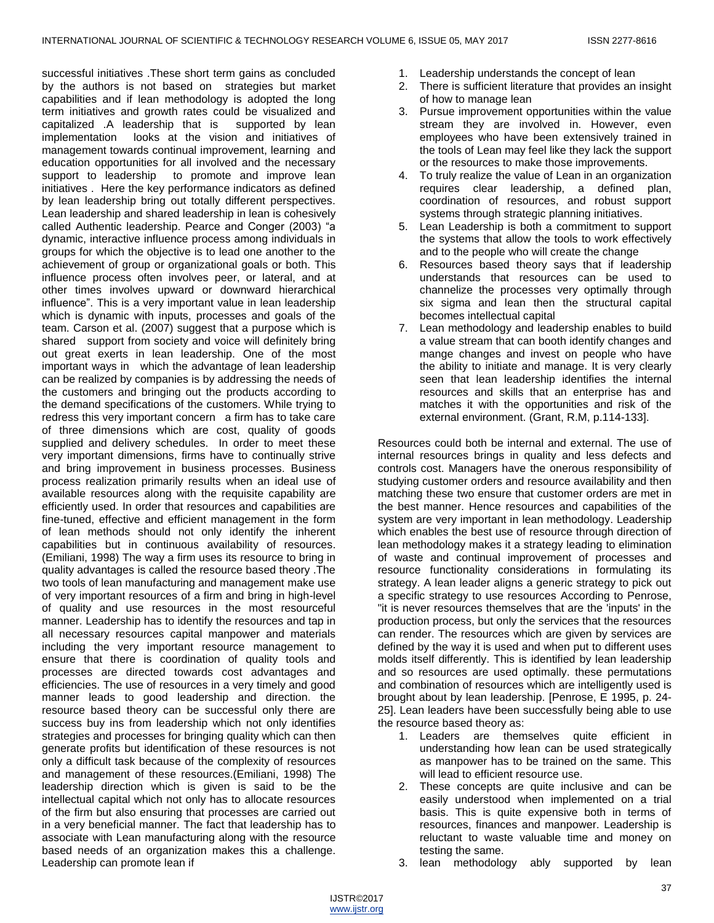successful initiatives .These short term gains as concluded by the authors is not based on strategies but market capabilities and if lean methodology is adopted the long term initiatives and growth rates could be visualized and capitalized .A leadership that is supported by lean implementation looks at the vision and initiatives of management towards continual improvement, learning and education opportunities for all involved and the necessary support to leadership to promote and improve lean initiatives . Here the key performance indicators as defined by lean leadership bring out totally different perspectives. Lean leadership and shared leadership in lean is cohesively called Authentic leadership. Pearce and Conger (2003) "a dynamic, interactive influence process among individuals in groups for which the objective is to lead one another to the achievement of group or organizational goals or both. This influence process often involves peer, or lateral, and at other times involves upward or downward hierarchical influence". This is a very important value in lean leadership which is dynamic with inputs, processes and goals of the team. Carson et al. (2007) suggest that a purpose which is shared support from society and voice will definitely bring out great exerts in lean leadership. One of the most important ways in which the advantage of lean leadership can be realized by companies is by addressing the needs of the customers and bringing out the products according to the demand specifications of the customers. While trying to redress this very important concern a firm has to take care of three dimensions which are cost, quality of goods supplied and delivery schedules. In order to meet these very important dimensions, firms have to continually strive and bring improvement in business processes. Business process realization primarily results when an ideal use of available resources along with the requisite capability are efficiently used. In order that resources and capabilities are fine-tuned, effective and efficient management in the form of lean methods should not only identify the inherent capabilities but in continuous availability of resources. (Emiliani, 1998) The way a firm uses its resource to bring in quality advantages is called the resource based theory .The two tools of lean manufacturing and management make use of very important resources of a firm and bring in high-level of quality and use resources in the most resourceful manner. Leadership has to identify the resources and tap in all necessary resources capital manpower and materials including the very important resource management to ensure that there is coordination of quality tools and processes are directed towards cost advantages and efficiencies. The use of resources in a very timely and good manner leads to good leadership and direction. the resource based theory can be successful only there are success buy ins from leadership which not only identifies strategies and processes for bringing quality which can then generate profits but identification of these resources is not only a difficult task because of the complexity of resources and management of these resources.(Emiliani, 1998) The leadership direction which is given is said to be the intellectual capital which not only has to allocate resources of the firm but also ensuring that processes are carried out in a very beneficial manner. The fact that leadership has to associate with Lean manufacturing along with the resource based needs of an organization makes this a challenge. Leadership can promote lean if

- 1. Leadership understands the concept of lean
- 2. There is sufficient literature that provides an insight of how to manage lean
- 3. Pursue improvement opportunities within the value stream they are involved in. However, even employees who have been extensively trained in the tools of Lean may feel like they lack the support or the resources to make those improvements.
- 4. To truly realize the value of Lean in an organization requires clear leadership, a defined plan, coordination of resources, and robust support systems through strategic planning initiatives.
- 5. Lean Leadership is both a commitment to support the systems that allow the tools to work effectively and to the people who will create the change
- 6. Resources based theory says that if leadership understands that resources can be used to channelize the processes very optimally through six sigma and lean then the structural capital becomes intellectual capital
- 7. Lean methodology and leadership enables to build a value stream that can booth identify changes and mange changes and invest on people who have the ability to initiate and manage. It is very clearly seen that lean leadership identifies the internal resources and skills that an enterprise has and matches it with the opportunities and risk of the external environment. (Grant, R.M, p.114-133].

Resources could both be internal and external. The use of internal resources brings in quality and less defects and controls cost. Managers have the onerous responsibility of studying customer orders and resource availability and then matching these two ensure that customer orders are met in the best manner. Hence resources and capabilities of the system are very important in lean methodology. Leadership which enables the best use of resource through direction of lean methodology makes it a strategy leading to elimination of waste and continual improvement of processes and resource functionality considerations in formulating its strategy. A lean leader aligns a generic strategy to pick out a specific strategy to use resources According to Penrose, "it is never resources themselves that are the 'inputs' in the production process, but only the services that the resources can render. The resources which are given by services are defined by the way it is used and when put to different uses molds itself differently. This is identified by lean leadership and so resources are used optimally. these permutations and combination of resources which are intelligently used is brought about by lean leadership. [Penrose, E 1995, p. 24- 25]. Lean leaders have been successfully being able to use the resource based theory as:

- 1. Leaders are themselves quite efficient in understanding how lean can be used strategically as manpower has to be trained on the same. This will lead to efficient resource use.
- 2. These concepts are quite inclusive and can be easily understood when implemented on a trial basis. This is quite expensive both in terms of resources, finances and manpower. Leadership is reluctant to waste valuable time and money on testing the same.
- 3. lean methodology ably supported by lean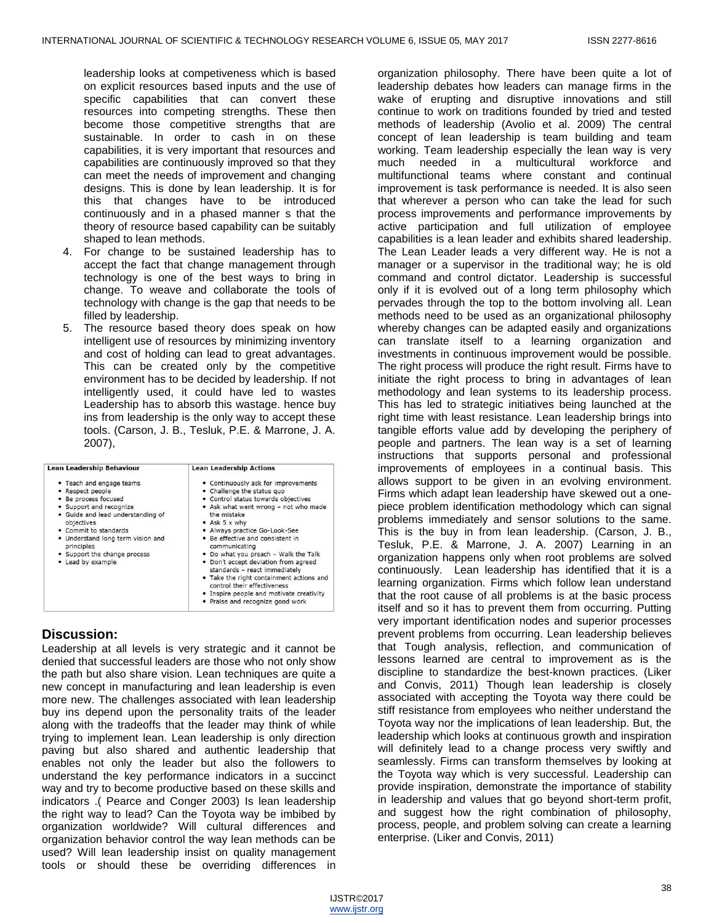leadership looks at competiveness which is based on explicit resources based inputs and the use of specific capabilities that can convert these resources into competing strengths. These then become those competitive strengths that are sustainable. In order to cash in on these capabilities, it is very important that resources and capabilities are continuously improved so that they can meet the needs of improvement and changing designs. This is done by lean leadership. It is for this that changes have to be introduced continuously and in a phased manner s that the theory of resource based capability can be suitably shaped to lean methods.

- 4. For change to be sustained leadership has to accept the fact that change management through technology is one of the best ways to bring in change. To weave and collaborate the tools of technology with change is the gap that needs to be filled by leadership.
- 5. The resource based theory does speak on how intelligent use of resources by minimizing inventory and cost of holding can lead to great advantages. This can be created only by the competitive environment has to be decided by leadership. If not intelligently used, it could have led to wastes Leadership has to absorb this wastage. hence buy ins from leadership is the only way to accept these tools. (Carson, J. B., Tesluk, P.E. & Marrone, J. A. 2007),

| <b>Lean Leadership Behaviour</b>                                                                                                                                                                                                                                                  | <b>Lean Leadership Actions</b>                                                                                                                                                                                                                                                                                                                                                                                                                                                                                                                     |
|-----------------------------------------------------------------------------------------------------------------------------------------------------------------------------------------------------------------------------------------------------------------------------------|----------------------------------------------------------------------------------------------------------------------------------------------------------------------------------------------------------------------------------------------------------------------------------------------------------------------------------------------------------------------------------------------------------------------------------------------------------------------------------------------------------------------------------------------------|
| . Teach and engage teams<br>• Respect people<br>Be process focused<br>• Support and recognize<br>• Guide and lead understanding of<br>objectives<br>• Commit to standards<br>. Understand long term vision and<br>principles<br>• Support the change process<br>• Lead by example | • Continuously ask for improvements<br>• Challenge the status guo<br>• Control status towards objectives<br>• Ask what went wrong - not who made<br>the mistake<br>• Ask 5 x why<br>· Always practice Go-Look-See<br>• Be effective and consistent in<br>communicating<br>. Do what you preach - Walk the Talk<br>. Don't accept deviation from agreed<br>standards - react immediately<br>. Take the right containment actions and<br>control their effectiveness<br>. Inspire people and motivate creativity<br>• Praise and recognize good work |

# **Discussion:**

Leadership at all levels is very strategic and it cannot be denied that successful leaders are those who not only show the path but also share vision. Lean techniques are quite a new concept in manufacturing and lean leadership is even more new. The challenges associated with lean leadership buy ins depend upon the personality traits of the leader along with the tradeoffs that the leader may think of while trying to implement lean. Lean leadership is only direction paving but also shared and authentic leadership that enables not only the leader but also the followers to understand the key performance indicators in a succinct way and try to become productive based on these skills and indicators .( Pearce and Conger 2003) Is lean leadership the right way to lead? Can the Toyota way be imbibed by organization worldwide? Will cultural differences and organization behavior control the way lean methods can be used? Will lean leadership insist on quality management tools or should these be overriding differences in

organization philosophy. There have been quite a lot of leadership debates how leaders can manage firms in the wake of erupting and disruptive innovations and still continue to work on traditions founded by tried and tested methods of leadership (Avolio et al. 2009) The central concept of lean leadership is team building and team working. Team leadership especially the lean way is very much needed in a multicultural workforce and multifunctional teams where constant and continual improvement is task performance is needed. It is also seen that wherever a person who can take the lead for such process improvements and performance improvements by active participation and full utilization of employee capabilities is a lean leader and exhibits shared leadership. The Lean Leader leads a very different way. He is not a manager or a supervisor in the traditional way; he is old command and control dictator. Leadership is successful only if it is evolved out of a long term philosophy which pervades through the top to the bottom involving all. Lean methods need to be used as an organizational philosophy whereby changes can be adapted easily and organizations can translate itself to a learning organization and investments in continuous improvement would be possible. The right process will produce the right result. Firms have to initiate the right process to bring in advantages of lean methodology and lean systems to its leadership process. This has led to strategic initiatives being launched at the right time with least resistance. Lean leadership brings into tangible efforts value add by developing the periphery of people and partners. The lean way is a set of learning instructions that supports personal and professional improvements of employees in a continual basis. This allows support to be given in an evolving environment. Firms which adapt lean leadership have skewed out a onepiece problem identification methodology which can signal problems immediately and sensor solutions to the same. This is the buy in from lean leadership. (Carson, J. B., Tesluk, P.E. & Marrone, J. A. 2007) Learning in an organization happens only when root problems are solved continuously. Lean leadership has identified that it is a learning organization. Firms which follow lean understand that the root cause of all problems is at the basic process itself and so it has to prevent them from occurring. Putting very important identification nodes and superior processes prevent problems from occurring. Lean leadership believes that Tough analysis, reflection, and communication of lessons learned are central to improvement as is the discipline to standardize the best-known practices. (Liker and Convis, 2011) Though lean leadership is closely associated with accepting the Toyota way there could be stiff resistance from employees who neither understand the Toyota way nor the implications of lean leadership. But, the leadership which looks at continuous growth and inspiration will definitely lead to a change process very swiftly and seamlessly. Firms can transform themselves by looking at the Toyota way which is very successful. Leadership can provide inspiration, demonstrate the importance of stability in leadership and values that go beyond short-term profit, and suggest how the right combination of philosophy, process, people, and problem solving can create a learning enterprise. (Liker and Convis, 2011)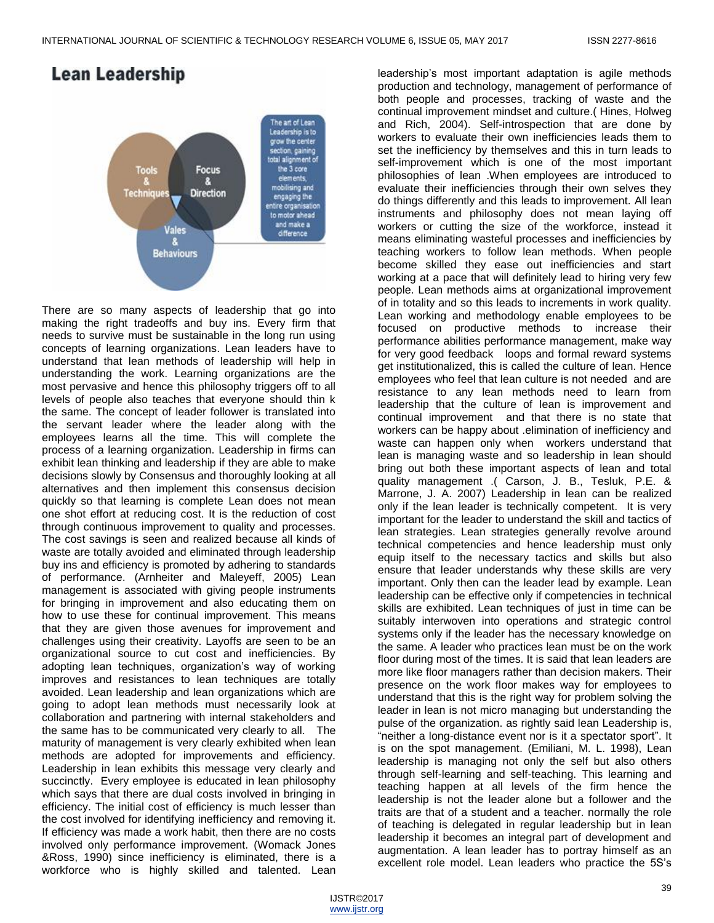

There are so many aspects of leadership that go into making the right tradeoffs and buy ins. Every firm that needs to survive must be sustainable in the long run using concepts of learning organizations. Lean leaders have to understand that lean methods of leadership will help in understanding the work. Learning organizations are the most pervasive and hence this philosophy triggers off to all levels of people also teaches that everyone should thin k the same. The concept of leader follower is translated into the servant leader where the leader along with the employees learns all the time. This will complete the process of a learning organization. Leadership in firms can exhibit lean thinking and leadership if they are able to make decisions slowly by Consensus and thoroughly looking at all alternatives and then implement this consensus decision quickly so that learning is complete Lean does not mean one shot effort at reducing cost. It is the reduction of cost through continuous improvement to quality and processes. The cost savings is seen and realized because all kinds of waste are totally avoided and eliminated through leadership buy ins and efficiency is promoted by adhering to standards of performance. (Arnheiter and Maleyeff, 2005) Lean management is associated with giving people instruments for bringing in improvement and also educating them on how to use these for continual improvement. This means that they are given those avenues for improvement and challenges using their creativity. Layoffs are seen to be an organizational source to cut cost and inefficiencies. By adopting lean techniques, organization's way of working improves and resistances to lean techniques are totally avoided. Lean leadership and lean organizations which are going to adopt lean methods must necessarily look at collaboration and partnering with internal stakeholders and the same has to be communicated very clearly to all. The maturity of management is very clearly exhibited when lean methods are adopted for improvements and efficiency. Leadership in lean exhibits this message very clearly and succinctly. Every employee is educated in lean philosophy which says that there are dual costs involved in bringing in efficiency. The initial cost of efficiency is much lesser than the cost involved for identifying inefficiency and removing it. If efficiency was made a work habit, then there are no costs involved only performance improvement. (Womack Jones &Ross, 1990) since inefficiency is eliminated, there is a workforce who is highly skilled and talented. Lean

leadership's most important adaptation is agile methods production and technology, management of performance of both people and processes, tracking of waste and the continual improvement mindset and culture.( Hines, Holweg and Rich, 2004). Self-introspection that are done by workers to evaluate their own inefficiencies leads them to set the inefficiency by themselves and this in turn leads to self-improvement which is one of the most important philosophies of lean .When employees are introduced to evaluate their inefficiencies through their own selves they do things differently and this leads to improvement. All lean instruments and philosophy does not mean laying off workers or cutting the size of the workforce, instead it means eliminating wasteful processes and inefficiencies by teaching workers to follow lean methods. When people become skilled they ease out inefficiencies and start working at a pace that will definitely lead to hiring very few people. Lean methods aims at organizational improvement of in totality and so this leads to increments in work quality. Lean working and methodology enable employees to be focused on productive methods to increase their performance abilities performance management, make way for very good feedback loops and formal reward systems get institutionalized, this is called the culture of lean. Hence employees who feel that lean culture is not needed and are resistance to any lean methods need to learn from leadership that the culture of lean is improvement and continual improvement and that there is no state that workers can be happy about .elimination of inefficiency and waste can happen only when workers understand that lean is managing waste and so leadership in lean should bring out both these important aspects of lean and total quality management .( Carson, J. B., Tesluk, P.E. & Marrone, J. A. 2007) Leadership in lean can be realized only if the lean leader is technically competent. It is very important for the leader to understand the skill and tactics of lean strategies. Lean strategies generally revolve around technical competencies and hence leadership must only equip itself to the necessary tactics and skills but also ensure that leader understands why these skills are very important. Only then can the leader lead by example. Lean leadership can be effective only if competencies in technical skills are exhibited. Lean techniques of just in time can be suitably interwoven into operations and strategic control systems only if the leader has the necessary knowledge on the same. A leader who practices lean must be on the work floor during most of the times. It is said that lean leaders are more like floor managers rather than decision makers. Their presence on the work floor makes way for employees to understand that this is the right way for problem solving the leader in lean is not micro managing but understanding the pulse of the organization. as rightly said lean Leadership is, "neither a long-distance event nor is it a spectator sport". It is on the spot management. (Emiliani, M. L. 1998), Lean leadership is managing not only the self but also others through self-learning and self-teaching. This learning and teaching happen at all levels of the firm hence the leadership is not the leader alone but a follower and the traits are that of a student and a teacher. normally the role of teaching is delegated in regular leadership but in lean leadership it becomes an integral part of development and augmentation. A lean leader has to portray himself as an excellent role model. Lean leaders who practice the 5S's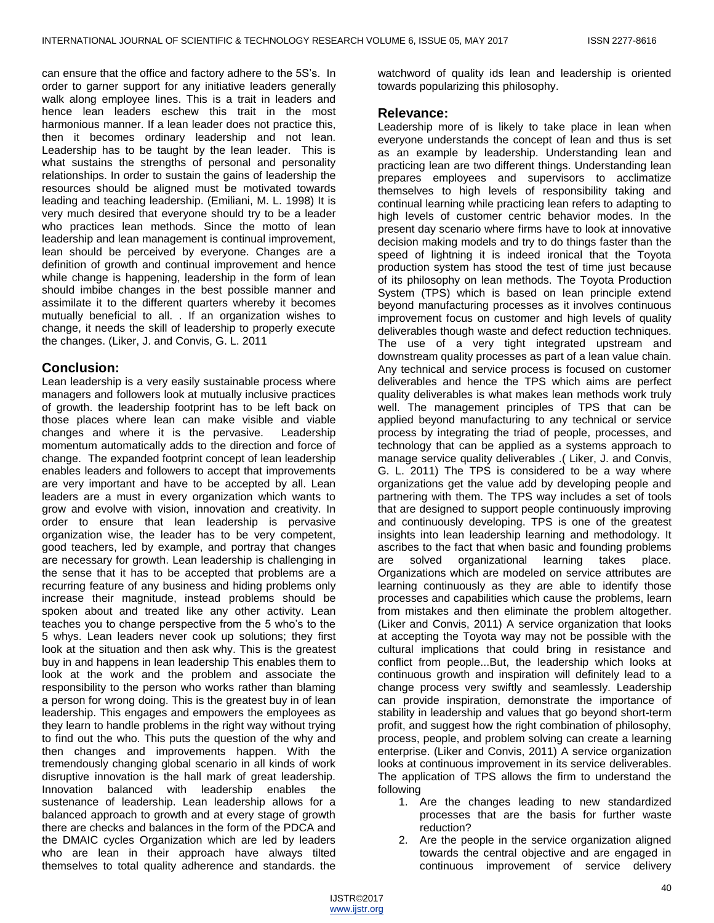can ensure that the office and factory adhere to the 5S's. In order to garner support for any initiative leaders generally walk along employee lines. This is a trait in leaders and hence lean leaders eschew this trait in the most harmonious manner. If a lean leader does not practice this, then it becomes ordinary leadership and not lean. Leadership has to be taught by the lean leader. This is what sustains the strengths of personal and personality relationships. In order to sustain the gains of leadership the resources should be aligned must be motivated towards leading and teaching leadership. (Emiliani, M. L. 1998) It is very much desired that everyone should try to be a leader who practices lean methods. Since the motto of lean leadership and lean management is continual improvement, lean should be perceived by everyone. Changes are a definition of growth and continual improvement and hence while change is happening, leadership in the form of lean should imbibe changes in the best possible manner and assimilate it to the different quarters whereby it becomes mutually beneficial to all. . If an organization wishes to change, it needs the skill of leadership to properly execute the changes. (Liker, J. and Convis, G. L. 2011

## **Conclusion:**

Lean leadership is a very easily sustainable process where managers and followers look at mutually inclusive practices of growth. the leadership footprint has to be left back on those places where lean can make visible and viable changes and where it is the pervasive. Leadership momentum automatically adds to the direction and force of change. The expanded footprint concept of lean leadership enables leaders and followers to accept that improvements are very important and have to be accepted by all. Lean leaders are a must in every organization which wants to grow and evolve with vision, innovation and creativity. In order to ensure that lean leadership is pervasive organization wise, the leader has to be very competent, good teachers, led by example, and portray that changes are necessary for growth. Lean leadership is challenging in the sense that it has to be accepted that problems are a recurring feature of any business and hiding problems only increase their magnitude, instead problems should be spoken about and treated like any other activity. Lean teaches you to change perspective from the 5 who's to the 5 whys. Lean leaders never cook up solutions; they first look at the situation and then ask why. This is the greatest buy in and happens in lean leadership This enables them to look at the work and the problem and associate the responsibility to the person who works rather than blaming a person for wrong doing. This is the greatest buy in of lean leadership. This engages and empowers the employees as they learn to handle problems in the right way without trying to find out the who. This puts the question of the why and then changes and improvements happen. With the tremendously changing global scenario in all kinds of work disruptive innovation is the hall mark of great leadership. Innovation balanced with leadership enables the sustenance of leadership. Lean leadership allows for a balanced approach to growth and at every stage of growth there are checks and balances in the form of the PDCA and the DMAIC cycles Organization which are led by leaders who are lean in their approach have always tilted themselves to total quality adherence and standards. the

watchword of quality ids lean and leadership is oriented towards popularizing this philosophy.

## **Relevance:**

Leadership more of is likely to take place in lean when everyone understands the concept of lean and thus is set as an example by leadership. Understanding lean and practicing lean are two different things. Understanding lean prepares employees and supervisors to acclimatize themselves to high levels of responsibility taking and continual learning while practicing lean refers to adapting to high levels of customer centric behavior modes. In the present day scenario where firms have to look at innovative decision making models and try to do things faster than the speed of lightning it is indeed ironical that the Toyota production system has stood the test of time just because of its philosophy on lean methods. The Toyota Production System (TPS) which is based on lean principle extend beyond manufacturing processes as it involves continuous improvement focus on customer and high levels of quality deliverables though waste and defect reduction techniques. The use of a very tight integrated upstream and downstream quality processes as part of a lean value chain. Any technical and service process is focused on customer deliverables and hence the TPS which aims are perfect quality deliverables is what makes lean methods work truly well. The management principles of TPS that can be applied beyond manufacturing to any technical or service process by integrating the triad of people, processes, and technology that can be applied as a systems approach to manage service quality deliverables .( Liker, J. and Convis, G. L. 2011) The TPS is considered to be a way where organizations get the value add by developing people and partnering with them. The TPS way includes a set of tools that are designed to support people continuously improving and continuously developing. TPS is one of the greatest insights into lean leadership learning and methodology. It ascribes to the fact that when basic and founding problems are solved organizational learning takes place. Organizations which are modeled on service attributes are learning continuously as they are able to identify those processes and capabilities which cause the problems, learn from mistakes and then eliminate the problem altogether. (Liker and Convis, 2011) A service organization that looks at accepting the Toyota way may not be possible with the cultural implications that could bring in resistance and conflict from people...But, the leadership which looks at continuous growth and inspiration will definitely lead to a change process very swiftly and seamlessly. Leadership can provide inspiration, demonstrate the importance of stability in leadership and values that go beyond short-term profit, and suggest how the right combination of philosophy, process, people, and problem solving can create a learning enterprise. (Liker and Convis, 2011) A service organization looks at continuous improvement in its service deliverables. The application of TPS allows the firm to understand the following

- 1. Are the changes leading to new standardized processes that are the basis for further waste reduction?
- 2. Are the people in the service organization aligned towards the central objective and are engaged in continuous improvement of service delivery